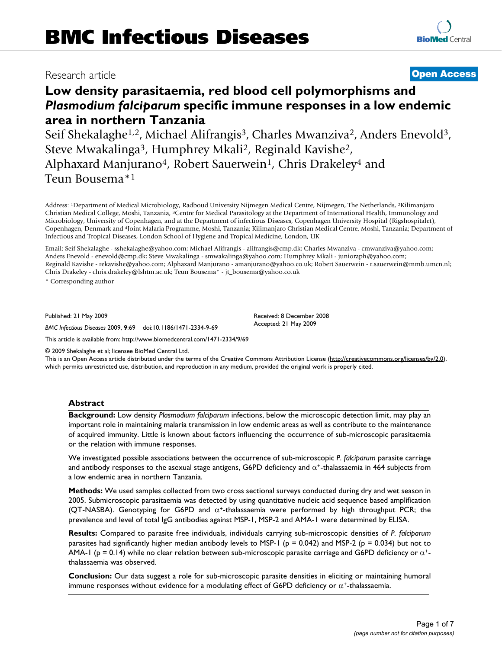## Research article **[Open Access](http://www.biomedcentral.com/info/about/charter/)**

# **Low density parasitaemia, red blood cell polymorphisms and**  *Plasmodium falciparum* **specific immune responses in a low endemic area in northern Tanzania**

Seif Shekalaghe<sup>1,2</sup>, Michael Alifrangis<sup>3</sup>, Charles Mwanziva<sup>2</sup>, Anders Enevold<sup>3</sup>, Steve Mwakalinga3, Humphrey Mkali2, Reginald Kavishe2, Alphaxard Manjurano<sup>4</sup>, Robert Sauerwein<sup>1</sup>, Chris Drakeley<sup>4</sup> and Teun Bousema\*1

Address: 1Department of Medical Microbiology, Radboud University Nijmegen Medical Centre, Nijmegen, The Netherlands, 2Kilimanjaro Christian Medical College, Moshi, Tanzania, 3Centre for Medical Parasitology at the Department of International Health, Immunology and Microbiology, University of Copenhagen, and at the Department of infectious Diseases, Copenhagen University Hospital (Rigshospitalet), Copenhagen, Denmark and 4Joint Malaria Programme, Moshi, Tanzania; Kilimanjaro Christian Medical Centre, Moshi, Tanzania; Department of Infectious and Tropical Diseases, London School of Hygiene and Tropical Medicine, London, UK

Email: Seif Shekalaghe - sshekalaghe@yahoo.com; Michael Alifrangis - alifrangis@cmp.dk; Charles Mwanziva - cmwanziva@yahoo.com; Anders Enevold - enevold@cmp.dk; Steve Mwakalinga - smwakalinga@yahoo.com; Humphrey Mkali - junioraph@yahoo.com; Reginald Kavishe - rekavishe@yahoo.com; Alphaxard Manjurano - amanjurano@yahoo.co.uk; Robert Sauerwein - r.sauerwein@mmb.umcn.nl; Chris Drakeley - chris.drakeley@lshtm.ac.uk; Teun Bousema\* - jt\_bousema@yahoo.co.uk

> Received: 8 December 2008 Accepted: 21 May 2009

\* Corresponding author

Published: 21 May 2009

*BMC Infectious Diseases* 2009, **9**:69 doi:10.1186/1471-2334-9-69

[This article is available from: http://www.biomedcentral.com/1471-2334/9/69](http://www.biomedcentral.com/1471-2334/9/69)

© 2009 Shekalaghe et al; licensee BioMed Central Ltd.

This is an Open Access article distributed under the terms of the Creative Commons Attribution License [\(http://creativecommons.org/licenses/by/2.0\)](http://creativecommons.org/licenses/by/2.0), which permits unrestricted use, distribution, and reproduction in any medium, provided the original work is properly cited.

## **Abstract**

**Background:** Low density *Plasmodium falciparum* infections, below the microscopic detection limit, may play an important role in maintaining malaria transmission in low endemic areas as well as contribute to the maintenance of acquired immunity. Little is known about factors influencing the occurrence of sub-microscopic parasitaemia or the relation with immune responses.

We investigated possible associations between the occurrence of sub-microscopic *P. falciparum* parasite carriage and antibody responses to the asexual stage antigens, G6PD deficiency and  $\alpha^*$ -thalassaemia in 464 subjects from a low endemic area in northern Tanzania.

**Methods:** We used samples collected from two cross sectional surveys conducted during dry and wet season in 2005. Submicroscopic parasitaemia was detected by using quantitative nucleic acid sequence based amplification (QT-NASBA). Genotyping for G6PD and  $\alpha^+$ -thalassaemia were performed by high throughput PCR; the prevalence and level of total IgG antibodies against MSP-1, MSP-2 and AMA-1 were determined by ELISA.

**Results:** Compared to parasite free individuals, individuals carrying sub-microscopic densities of *P. falciparum* parasites had significantly higher median antibody levels to MSP-1 ( $p = 0.042$ ) and MSP-2 ( $p = 0.034$ ) but not to AMA-1 (p = 0.14) while no clear relation between sub-microscopic parasite carriage and G6PD deficiency or  $\alpha^+$ thalassaemia was observed.

**Conclusion:** Our data suggest a role for sub-microscopic parasite densities in eliciting or maintaining humoral immune responses without evidence for a modulating effect of G6PD deficiency or  $\alpha^*$ -thalassaemia.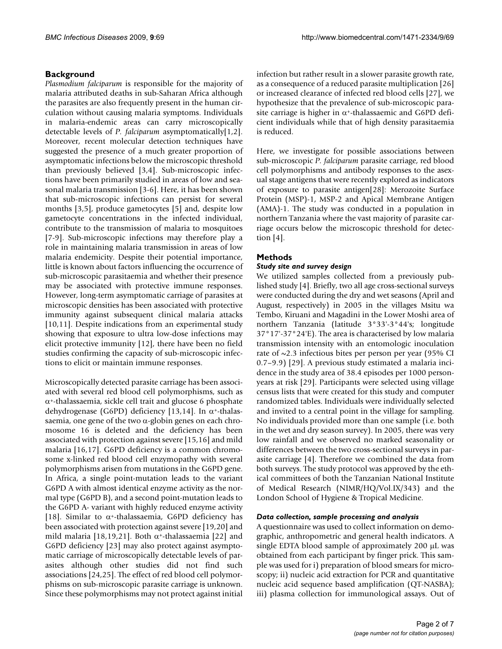## **Background**

*Plasmodium falciparum* is responsible for the majority of malaria attributed deaths in sub-Saharan Africa although the parasites are also frequently present in the human circulation without causing malaria symptoms. Individuals in malaria-endemic areas can carry microscopically detectable levels of *P. falciparum* asymptomatically[1,2]. Moreover, recent molecular detection techniques have suggested the presence of a much greater proportion of asymptomatic infections below the microscopic threshold than previously believed [[3](#page-5-0),4]. Sub-microscopic infections have been primarily studied in areas of low and seasonal malaria transmission [[3](#page-5-0)-6]. Here, it has been shown that sub-microscopic infections can persist for several months [[3,](#page-5-0)5], produce gametocytes [5] and, despite low gametocyte concentrations in the infected individual, contribute to the transmission of malaria to mosquitoes [7-9]. Sub-microscopic infections may therefore play a role in maintaining malaria transmission in areas of low malaria endemicity. Despite their potential importance, little is known about factors influencing the occurrence of sub-microscopic parasitaemia and whether their presence may be associated with protective immune responses. However, long-term asymptomatic carriage of parasites at microscopic densities has been associated with protective immunity against subsequent clinical malaria attacks [10,11]. Despite indications from an experimental study showing that exposure to ultra low-dose infections may elicit protective immunity [12], there have been no field studies confirming the capacity of sub-microscopic infections to elicit or maintain immune responses.

Microscopically detected parasite carriage has been associated with several red blood cell polymorphisms, such as  $\alpha$ <sup>+</sup>-thalassaemia, sickle cell trait and glucose 6 phosphate dehydrogenase (G6PD) deficiency [13,14]. In α<sup>+</sup>-thalassaemia, one gene of the two  $\alpha$ -globin genes on each chromosome 16 is deleted and the deficiency has been associated with protection against severe [15,16] and mild malaria [16,17]. G6PD deficiency is a common chromosome x-linked red blood cell enzymopathy with several polymorphisms arisen from mutations in the G6PD gene. In Africa, a single point-mutation leads to the variant G6PD A with almost identical enzyme activity as the normal type (G6PD B), and a second point-mutation leads to the G6PD A- variant with highly reduced enzyme activity [18]. Similar to  $\alpha$ <sup>+</sup>-thalassaemia, G6PD deficiency has been associated with protection against severe [19,20] and mild malaria [18,19,21]. Both  $\alpha$ <sup>+</sup>-thalassaemia [22] and G6PD deficiency [23] may also protect against asymptomatic carriage of microscopically detectable levels of parasites although other studies did not find such associations [24,25]. The effect of red blood cell polymorphisms on sub-microscopic parasite carriage is unknown. Since these polymorphisms may not protect against initial

infection but rather result in a slower parasite growth rate, as a consequence of a reduced parasite multiplication [26] or increased clearance of infected red blood cells [27], we hypothesize that the prevalence of sub-microscopic parasite carriage is higher in  $\alpha$ <sup>+</sup>-thalassaemic and G6PD deficient individuals while that of high density parasitaemia is reduced.

Here, we investigate for possible associations between sub-microscopic *P. falciparum* parasite carriage, red blood cell polymorphisms and antibody responses to the asexual stage antigens that were recently explored as indicators of exposure to parasite antigen[28]: Merozoite Surface Protein (MSP)-1, MSP-2 and Apical Membrane Antigen (AMA)-1. The study was conducted in a population in northern Tanzania where the vast majority of parasite carriage occurs below the microscopic threshold for detection  $[4]$ .

## **Methods**

## *Study site and survey design*

We utilized samples collected from a previously published study [4]. Briefly, two all age cross-sectional surveys were conducted during the dry and wet seasons (April and August, respectively) in 2005 in the villages Msitu wa Tembo, Kiruani and Magadini in the Lower Moshi area of northern Tanzania (latitude 3°33'-3°44's; longitude 37°17'-37°24'E). The area is characterised by low malaria transmission intensity with an entomologic inoculation rate of ~2.3 infectious bites per person per year (95% CI 0.7–9.9) [29]. A previous study estimated a malaria incidence in the study area of 38.4 episodes per 1000 personyears at risk [29]. Participants were selected using village census lists that were created for this study and computer randomized tables. Individuals were individually selected and invited to a central point in the village for sampling. No individuals provided more than one sample (i.e. both in the wet and dry season survey). In 2005, there was very low rainfall and we observed no marked seasonality or differences between the two cross-sectional surveys in parasite carriage [4]. Therefore we combined the data from both surveys. The study protocol was approved by the ethical committees of both the Tanzanian National Institute of Medical Research (NIMR/HQ/Vol.IX/343) and the London School of Hygiene & Tropical Medicine.

## *Data collection, sample processing and analysis*

A questionnaire was used to collect information on demographic, anthropometric and general health indicators. A single EDTA blood sample of approximately 200 μL was obtained from each participant by finger prick. This sample was used for i) preparation of blood smears for microscopy; ii) nucleic acid extraction for PCR and quantitative nucleic acid sequence based amplification (QT-NASBA); iii) plasma collection for immunological assays. Out of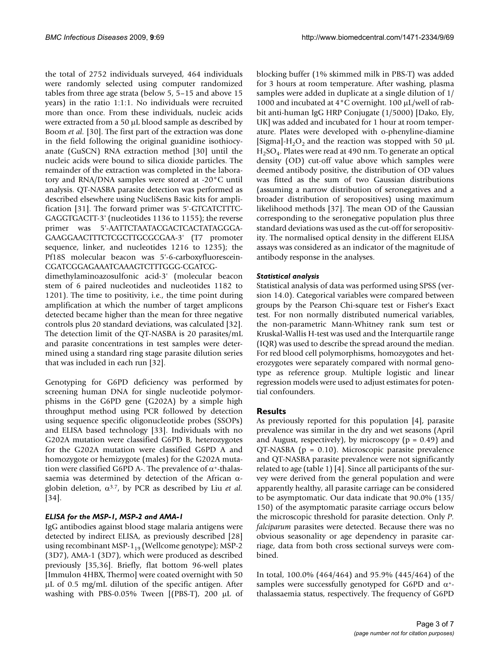the total of 2752 individuals surveyed, 464 individuals were randomly selected using computer randomized tables from three age strata (below 5, 5–15 and above 15 years) in the ratio 1:1:1. No individuals were recruited more than once. From these individuals, nucleic acids were extracted from a 50 μL blood sample as described by Boom *et al.* [30]. The first part of the extraction was done in the field following the original guanidine isothiocyanate (GuSCN) RNA extraction method [30] until the nucleic acids were bound to silica dioxide particles. The remainder of the extraction was completed in the laboratory and RNA/DNA samples were stored at -20°C until analysis. QT-NASBA parasite detection was performed as described elsewhere using NucliSens Basic kits for amplification [31]. The forward primer was 5'-GTCATCTTTC-GAGGTGACTT-3' (nucleotides 1136 to 1155); the reverse primer was 5'-AATTCTAATACGACTCACTATAGGGA-GAAGGAACTTTCTCGCTTGCGCGAA-3' (T7 promoter sequence, linker, and nucleotides 1216 to 1235); the Pf18S molecular beacon was 5'-6-carboxyfluorescein-CGATCGGAGAAATCAAAGTCTTTGGG-CGATCG-

dimethylaminoazosulfonic acid-3' (molecular beacon stem of 6 paired nucleotides and nucleotides 1182 to 1201). The time to positivity, i.e., the time point during amplification at which the number of target amplicons detected became higher than the mean for three negative controls plus 20 standard deviations, was calculated [32]. The detection limit of the QT-NASBA is 20 parasites/mL and parasite concentrations in test samples were determined using a standard ring stage parasite dilution series that was included in each run [32].

Genotyping for G6PD deficiency was performed by screening human DNA for single nucleotide polymorphisms in the G6PD gene (G202A) by a simple high throughput method using PCR followed by detection using sequence specific oligonucleotide probes (SSOPs) and ELISA based technology [33]. Individuals with no G202A mutation were classified G6PD B, heterozygotes for the G202A mutation were classified G6PD A and homozygote or hemizygote (males) for the G202A mutation were classified G6PD A-. The prevalence of  $\alpha^*$ -thalassaemia was determined by detection of the African αglobin deletion, α3.7, by PCR as described by Liu *et al.* [34].

## *ELISA for the MSP-1, MSP-2 and AMA-1*

IgG antibodies against blood stage malaria antigens were detected by indirect ELISA, as previously described [28] using recombinant MSP- $1_{19}$  (Wellcome genotype); MSP-2 (3D7), AMA-1 (3D7), which were produced as described previously [35,36]. Briefly, flat bottom 96-well plates [Immulon 4HBX, Thermo] were coated overnight with 50 μL of 0.5 mg/mL dilution of the specific antigen. After washing with PBS-0.05% Tween  $[(PBS-T)$ , 200  $\mu$ L of blocking buffer (1% skimmed milk in PBS-T) was added for 3 hours at room temperature. After washing, plasma samples were added in duplicate at a single dilution of 1/ 1000 and incubated at 4°C overnight. 100 μL/well of rabbit anti-human IgG HRP Conjugate (1/5000) [Dako, Ely, UK] was added and incubated for 1 hour at room temperature. Plates were developed with o-phenyline-diamine [Sigma]-H<sub>2</sub>O<sub>2</sub> and the reaction was stopped with 50  $\mu$ L  $H<sub>2</sub>SO<sub>4</sub>$ . Plates were read at 490 nm. To generate an optical density (OD) cut-off value above which samples were deemed antibody positive, the distribution of OD values was fitted as the sum of two Gaussian distributions (assuming a narrow distribution of seronegatives and a broader distribution of seropositives) using maximum likelihood methods [37]. The mean OD of the Gaussian corresponding to the seronegative population plus three standard deviations was used as the cut-off for seropositivity. The normalised optical density in the different ELISA assays was considered as an indicator of the magnitude of antibody response in the analyses.

## *Statistical analysis*

Statistical analysis of data was performed using SPSS (version 14.0). Categorical variables were compared between groups by the Pearson Chi-square test or Fisher's Exact test. For non normally distributed numerical variables, the non-parametric Mann-Whitney rank sum test or Kruskal-Wallis H-test was used and the Interquartile range (IQR) was used to describe the spread around the median. For red blood cell polymorphisms, homozygotes and heterozygotes were separately compared with normal genotype as reference group. Multiple logistic and linear regression models were used to adjust estimates for potential confounders.

## **Results**

As previously reported for this population [4], parasite prevalence was similar in the dry and wet seasons (April and August, respectively), by microscopy ( $p = 0.49$ ) and QT-NASBA (p = 0.10). Microscopic parasite prevalence and QT-NASBA parasite prevalence were not significantly related to age (table 1) [4]. Since all participants of the survey were derived from the general population and were apparently healthy, all parasite carriage can be considered to be asymptomatic. Our data indicate that 90.0% (135/ 150) of the asymptomatic parasite carriage occurs below the microscopic threshold for parasite detection. Only *P. falciparum* parasites were detected. Because there was no obvious seasonality or age dependency in parasite carriage, data from both cross sectional surveys were combined.

In total, 100.0% (464/464) and 95.9% (445/464) of the samples were successfully genotyped for G6PD and  $\alpha$ <sup>+</sup>thalassaemia status, respectively. The frequency of G6PD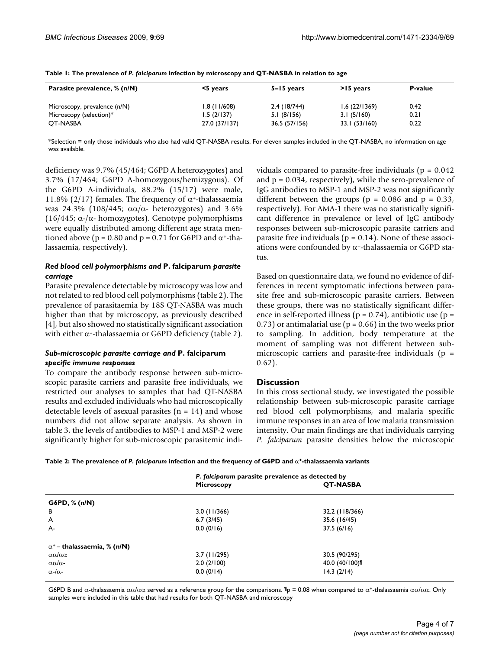| Parasite prevalence, % (n/N) | <5 years      | 5–15 years    | >15 years     | <b>P-value</b> |
|------------------------------|---------------|---------------|---------------|----------------|
| Microscopy, prevalence (n/N) | 1.8(11/608)   | 2.4(18/744)   | 1.6(22/1369)  | 0.42           |
| Microscopy (selection)*      | 1.5(2/137)    | 5.1(8/156)    | 3.1(5/160)    | 0.21           |
| OT-NASBA                     | 27.0 (37/137) | 36.5 (57/156) | 33.1 (53/160) | 0.22           |

**Table 1: The prevalence of** *P. falciparum* **infection by microscopy and QT-NASBA in relation to age**

\*Selection = only those individuals who also had valid QT-NASBA results. For eleven samples included in the QT-NASBA, no information on age was available.

deficiency was 9.7% (45/464; G6PD A heterozygotes) and 3.7% (17/464; G6PD A-homozygous/hemizygous). Of the G6PD A-individuals, 88.2% (15/17) were male, 11.8% (2/17) females. The frequency of  $α+$ -thalassaemia was 24.3% (108/445;  $\alpha\alpha/\alpha$ - heterozygotes) and 3.6% (16/445;  $\alpha$ -/ $\alpha$ - homozygotes). Genotype polymorphisms were equally distributed among different age strata mentioned above ( $p = 0.80$  and  $p = 0.71$  for G6PD and  $\alpha$ <sup>+</sup>-thalassaemia, respectively).

## *Red blood cell polymorphisms and* **P. falciparum** *parasite carriage*

Parasite prevalence detectable by microscopy was low and not related to red blood cell polymorphisms (table 2). The prevalence of parasitaemia by 18S QT-NASBA was much higher than that by microscopy, as previously described [4], but also showed no statistically significant association with either  $\alpha$ <sup>+</sup>-thalassaemia or G6PD deficiency (table 2).

## *Sub-microscopic parasite carriage and* **P. falciparum**  *specific immune responses*

To compare the antibody response between sub-microscopic parasite carriers and parasite free individuals, we restricted our analyses to samples that had QT-NASBA results and excluded individuals who had microscopically detectable levels of asexual parasites  $(n = 14)$  and whose numbers did not allow separate analysis. As shown in table 3, the levels of antibodies to MSP-1 and MSP-2 were significantly higher for sub-microscopic parasitemic individuals compared to parasite-free individuals ( $p = 0.042$ ) and  $p = 0.034$ , respectively), while the sero-prevalence of IgG antibodies to MSP-1 and MSP-2 was not significantly different between the groups ( $p = 0.086$  and  $p = 0.33$ , respectively). For AMA-1 there was no statistically significant difference in prevalence or level of IgG antibody responses between sub-microscopic parasite carriers and parasite free individuals ( $p = 0.14$ ). None of these associations were confounded by  $\alpha$ <sup>+</sup>-thalassaemia or G6PD status.

Based on questionnaire data, we found no evidence of differences in recent symptomatic infections between parasite free and sub-microscopic parasite carriers. Between these groups, there was no statistically significant difference in self-reported illness ( $p = 0.74$ ), antibiotic use ( $p =$ 0.73) or antimalarial use ( $p = 0.66$ ) in the two weeks prior to sampling. In addition, body temperature at the moment of sampling was not different between submicroscopic carriers and parasite-free individuals ( $p =$ 0.62).

## **Discussion**

In this cross sectional study, we investigated the possible relationship between sub-microscopic parasite carriage red blood cell polymorphisms, and malaria specific immune responses in an area of low malaria transmission intensity. Our main findings are that individuals carrying *P. falciparum* parasite densities below the microscopic

| Table 2: The prevalence of P. falciparum infection and the frequency of G6PD and $\alpha$ *-thalassaemia variants |  |  |  |
|-------------------------------------------------------------------------------------------------------------------|--|--|--|
|                                                                                                                   |  |  |  |

|                                    |                   | P. falciparum parasite prevalence as detected by |  |  |
|------------------------------------|-------------------|--------------------------------------------------|--|--|
|                                    | <b>Microscopy</b> | <b>QT-NASBA</b>                                  |  |  |
| G6PD, % (n/N)                      |                   |                                                  |  |  |
| B                                  | 3.0(11/366)       | 32.2 (118/366)                                   |  |  |
| A                                  | 6.7(3/45)         | 35.6 (16/45)                                     |  |  |
| A-                                 | 0.0(0/16)         | 37.5(6/16)                                       |  |  |
| $\alpha^+$ – thalassaemia, % (n/N) |                   |                                                  |  |  |
| αα/αα                              | $3.7$ (11/295)    | 30.5 (90/295)                                    |  |  |
| $\alpha\alpha/\alpha$ -            | 2.0(2/100)        | 40.0 (40/100)                                    |  |  |
| $\alpha$ -/ $\alpha$ -             | 0.0(0/14)         | 14.3(2/14)                                       |  |  |

G6PD B and  $\alpha$ -thalassaemia  $\alpha\alpha/\alpha\alpha$  served as a reference group for the comparisons. <sup> $\P$ </sup>p = 0.08 when compared to  $\alpha^+$ -thalassaemia  $\alpha\alpha/\alpha\alpha$ . Only samples were included in this table that had results for both QT-NASBA and microscopy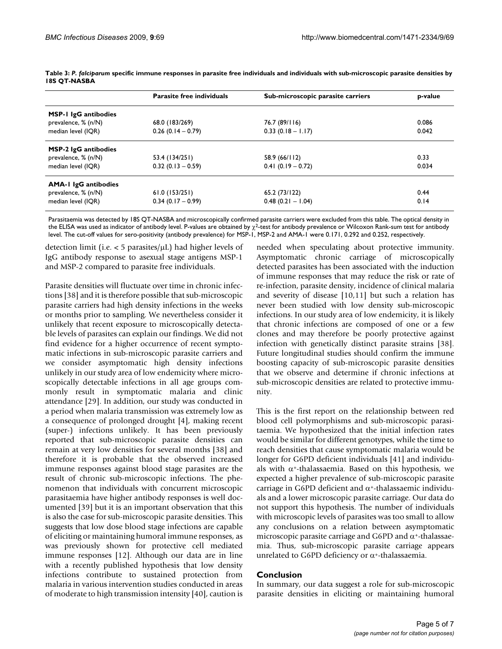|                             | <b>Parasite free individuals</b> | Sub-microscopic parasite carriers | p-value |
|-----------------------------|----------------------------------|-----------------------------------|---------|
| <b>MSP-1 IgG antibodies</b> |                                  |                                   |         |
| prevalence, % (n/N)         | 68.0 (183/269)                   | 76.7 (89/116)                     | 0.086   |
| median level (IQR)          | $0.26$ (0.14 - 0.79)             | $0.33(0.18 - 1.17)$               | 0.042   |
| <b>MSP-2 IgG antibodies</b> |                                  |                                   |         |
| prevalence, % (n/N)         | 53.4 (134/251)                   | 58.9 (66/112)                     | 0.33    |
| median level (IQR)          | $0.32(0.13 - 0.59)$              | $0.41(0.19 - 0.72)$               | 0.034   |
| <b>AMA-1 IgG antibodies</b> |                                  |                                   |         |
| prevalence, % (n/N)         | 61.0(153/251)                    | 65.2 (73/122)                     | 0.44    |
| median level (IQR)          | $0.34(0.17-0.99)$                | $0.48(0.21 - 1.04)$               | 0.14    |

**Table 3:** *P. falciparum* **specific immune responses in parasite free individuals and individuals with sub-microscopic parasite densities by 18S QT-NASBA**

Parasitaemia was detected by 18S QT-NASBA and microscopically confirmed parasite carriers were excluded from this table. The optical density in the ELISA was used as indicator of antibody level. P-values are obtained by χ<sup>2</sup>-test for antibody prevalence or Wilcoxon Rank-sum test for antibody level. The cut-off values for sero-positivity (antibody prevalence) for MSP-1, MSP-2 and AMA-1 were 0.171, 0.292 and 0.252, respectively.

detection limit (i.e.  $<$  5 parasites/ $\mu$ L) had higher levels of IgG antibody response to asexual stage antigens MSP-1 and MSP-2 compared to parasite free individuals.

Parasite densities will fluctuate over time in chronic infections [38] and it is therefore possible that sub-microscopic parasite carriers had high density infections in the weeks or months prior to sampling. We nevertheless consider it unlikely that recent exposure to microscopically detectable levels of parasites can explain our findings. We did not find evidence for a higher occurrence of recent symptomatic infections in sub-microscopic parasite carriers and we consider asymptomatic high density infections unlikely in our study area of low endemicity where microscopically detectable infections in all age groups commonly result in symptomatic malaria and clinic attendance [29]. In addition, our study was conducted in a period when malaria transmission was extremely low as a consequence of prolonged drought [4], making recent (super-) infections unlikely. It has been previously reported that sub-microscopic parasite densities can remain at very low densities for several months [38] and therefore it is probable that the observed increased immune responses against blood stage parasites are the result of chronic sub-microscopic infections. The phenomenon that individuals with concurrent microscopic parasitaemia have higher antibody responses is well documented [39] but it is an important observation that this is also the case for sub-microscopic parasite densities. This suggests that low dose blood stage infections are capable of eliciting or maintaining humoral immune responses, as was previously shown for protective cell mediated immune responses [12]. Although our data are in line with a recently published hypothesis that low density infections contribute to sustained protection from malaria in various intervention studies conducted in areas of moderate to high transmission intensity [40], caution is

needed when speculating about protective immunity. Asymptomatic chronic carriage of microscopically detected parasites has been associated with the induction of immune responses that may reduce the risk or rate of re-infection, parasite density, incidence of clinical malaria and severity of disease [10,11] but such a relation has never been studied with low density sub-microscopic infections. In our study area of low endemicity, it is likely that chronic infections are composed of one or a few clones and may therefore be poorly protective against infection with genetically distinct parasite strains [38]. Future longitudinal studies should confirm the immune boosting capacity of sub-microscopic parasite densities that we observe and determine if chronic infections at sub-microscopic densities are related to protective immunity.

This is the first report on the relationship between red blood cell polymorphisms and sub-microscopic parasitaemia. We hypothesized that the initial infection rates would be similar for different genotypes, while the time to reach densities that cause symptomatic malaria would be longer for G6PD deficient individuals [41] and individuals with  $\alpha$ <sup>+</sup>-thalassaemia. Based on this hypothesis, we expected a higher prevalence of sub-microscopic parasite carriage in G6PD deficient and  $\alpha$ <sup>+</sup>-thalassaemic individuals and a lower microscopic parasite carriage. Our data do not support this hypothesis. The number of individuals with microscopic levels of parasites was too small to allow any conclusions on a relation between asymptomatic microscopic parasite carriage and G6PD and  $\alpha$ +-thalassaemia. Thus, sub-microscopic parasite carriage appears unrelated to G6PD deficiency or  $\alpha$ <sup>+</sup>-thalassaemia.

## **Conclusion**

In summary, our data suggest a role for sub-microscopic parasite densities in eliciting or maintaining humoral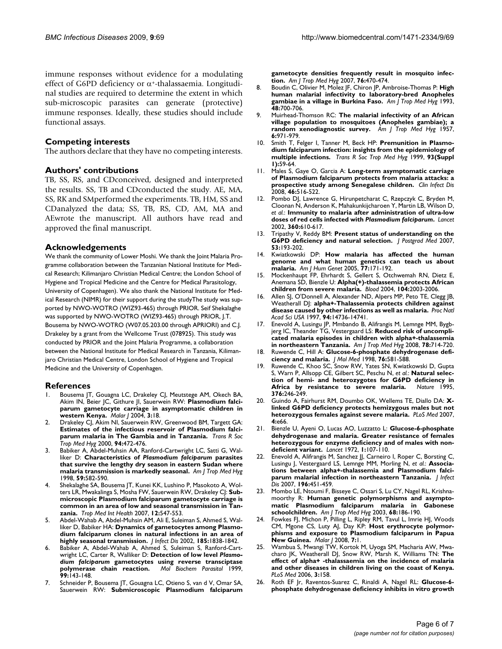immune responses without evidence for a modulating effect of G6PD deficiency or  $\alpha$ <sup>+</sup>-thalassaemia. Longitudinal studies are required to determine the extent in which sub-microscopic parasites can generate (protective) immune responses. Ideally, these studies should include functional assays.

## **Competing interests**

The authors declare that they have no competing interests.

## **Authors' contributions**

TB, SS, RS, and CDconceived, designed and interpreted the results. SS, TB and CDconducted the study. AE, MA, SS, RK and SMperformed the experiments. TB, HM, SS and CDanalyzed the data; SS, TB, RS, CD, AM, MA and AEwrote the manuscript. All authors have read and approved the final manuscript.

## **Acknowledgements**

We thank the community of Lower Moshi. We thank the Joint Malaria Programme collaboration between the Tanzanian National Institute for Medical Research; Kilimanjaro Christian Medical Centre; the London School of Hygiene and Tropical Medicine and the Centre for Medical Parasitology, University of Copenhagen). We also thank the National Institute for Medical Research (NIMR) for their support during the studyThe study was supported by NWO-WOTRO (WIZ93-465) through PRIOR. Seif Shekalaghe was supported by NWO-WOTRO (WIZ93-465) through PRIOR, J.T. Bousema by NWO-WOTRO (W07.05.203.00 through APRIORI) and C.J. Drakeley by a grant from the Wellcome Trust (078925). This study was conducted by PRIOR and the Joint Malaria Programme, a collaboration between the National Institute for Medical Research in Tanzania, Kilimanjaro Christian Medical Centre, London School of Hygiene and Tropical Medicine and the University of Copenhagen.

## **References**

- Bousema JT, Gouagna LC, Drakeley CJ, Meutstege AM, Okech BA, Akim IN, Beier JC, Githure JI, Sauerwein RW: **[Plasmodium falci](http://www.ncbi.nlm.nih.gov/entrez/query.fcgi?cmd=Retrieve&db=PubMed&dopt=Abstract&list_uids=15202944)[parum gametocyte carriage in asymptomatic children in](http://www.ncbi.nlm.nih.gov/entrez/query.fcgi?cmd=Retrieve&db=PubMed&dopt=Abstract&list_uids=15202944) [western Kenya.](http://www.ncbi.nlm.nih.gov/entrez/query.fcgi?cmd=Retrieve&db=PubMed&dopt=Abstract&list_uids=15202944)** *Malar J* 2004, **3:**18.
- 2. Drakeley CJ, Akim NI, Sauerwein RW, Greenwood BM, Targett GA: **[Estimates of the infectious reservoir of Plasmodium falci](http://www.ncbi.nlm.nih.gov/entrez/query.fcgi?cmd=Retrieve&db=PubMed&dopt=Abstract&list_uids=11132369)[parum malaria in The Gambia and in Tanzania.](http://www.ncbi.nlm.nih.gov/entrez/query.fcgi?cmd=Retrieve&db=PubMed&dopt=Abstract&list_uids=11132369)** *Trans R Soc Trop Med Hyg* 2000, **94:**472-476.
- <span id="page-5-0"></span>3. Babiker A, Abdel-Muhsin AA, Ranford-Cartwright LC, Satti G, Walliker D: **Characteristics of** *Plasmodium falciparum* **[parasites](http://www.ncbi.nlm.nih.gov/entrez/query.fcgi?cmd=Retrieve&db=PubMed&dopt=Abstract&list_uids=9790434) [that survive the lengthy dry season in eastern Sudan where](http://www.ncbi.nlm.nih.gov/entrez/query.fcgi?cmd=Retrieve&db=PubMed&dopt=Abstract&list_uids=9790434) [malaria transmission is markedly seasonal.](http://www.ncbi.nlm.nih.gov/entrez/query.fcgi?cmd=Retrieve&db=PubMed&dopt=Abstract&list_uids=9790434)** *Am J Trop Med Hyg* 1998, **59:**582-590.
- 4. Shekalaghe SA, Bousema JT, Kunei KK, Lushino P, Masokoto A, Wolters LR, Mwakalinga S, Mosha FW, Sauerwein RW, Drakeley CJ: **[Sub](http://www.ncbi.nlm.nih.gov/entrez/query.fcgi?cmd=Retrieve&db=PubMed&dopt=Abstract&list_uids=17445146)[microscopic Plasmodium falciparum gametocyte carriage is](http://www.ncbi.nlm.nih.gov/entrez/query.fcgi?cmd=Retrieve&db=PubMed&dopt=Abstract&list_uids=17445146) common in an area of low and seasonal transmission in Tan[zania.](http://www.ncbi.nlm.nih.gov/entrez/query.fcgi?cmd=Retrieve&db=PubMed&dopt=Abstract&list_uids=17445146)** *Trop Med Int Health* 2007, **12:**547-553.
- 5. Abdel-Wahab A, Abdel-Muhsin AM, Ali E, Suleiman S, Ahmed S, Walliker D, Babiker HA: **[Dynamics of gametocytes among Plasmo](http://www.ncbi.nlm.nih.gov/entrez/query.fcgi?cmd=Retrieve&db=PubMed&dopt=Abstract&list_uids=12085337)[dium falciparum clones in natural infections in an area of](http://www.ncbi.nlm.nih.gov/entrez/query.fcgi?cmd=Retrieve&db=PubMed&dopt=Abstract&list_uids=12085337) [highly seasonal transmission.](http://www.ncbi.nlm.nih.gov/entrez/query.fcgi?cmd=Retrieve&db=PubMed&dopt=Abstract&list_uids=12085337)** *J Infect Dis* 2002, **185:**1838-1842.
- 6. Babiker A, Abdel-Wahab A, Ahmed S, Suleiman S, Ranford-Cartwright LC, Carter R, Walliker D: **Detection of low level** *Plasmodium falciparum* **[gametocytes using reverse transciptase](http://www.ncbi.nlm.nih.gov/entrez/query.fcgi?cmd=Retrieve&db=PubMed&dopt=Abstract&list_uids=10215031) [polymerase chain reaction.](http://www.ncbi.nlm.nih.gov/entrez/query.fcgi?cmd=Retrieve&db=PubMed&dopt=Abstract&list_uids=10215031)** *Mol Biochem Parasitol* 1999, polymerase chain reaction.<br>99:143-148.
- Schneider P, Bousema JT, Gouagna LC, Otieno S, van d V, Omar SA, Sauerwein RW: **[Submicroscopic Plasmodium falciparum](http://www.ncbi.nlm.nih.gov/entrez/query.fcgi?cmd=Retrieve&db=PubMed&dopt=Abstract&list_uids=17360869)**

**[gametocyte densities frequently result in mosquito infec](http://www.ncbi.nlm.nih.gov/entrez/query.fcgi?cmd=Retrieve&db=PubMed&dopt=Abstract&list_uids=17360869)[tion.](http://www.ncbi.nlm.nih.gov/entrez/query.fcgi?cmd=Retrieve&db=PubMed&dopt=Abstract&list_uids=17360869)** *Am J Trop Med Hyg* 2007, **76:**470-474.

- 8. Boudin C, Olivier M, Molez JF, Chiron JP, Ambroise-Thomas P: **[High](http://www.ncbi.nlm.nih.gov/entrez/query.fcgi?cmd=Retrieve&db=PubMed&dopt=Abstract&list_uids=8517489) [human malarial infectivity to laboratory-bred Anopheles](http://www.ncbi.nlm.nih.gov/entrez/query.fcgi?cmd=Retrieve&db=PubMed&dopt=Abstract&list_uids=8517489) [gambiae in a village in Burkina Faso.](http://www.ncbi.nlm.nih.gov/entrez/query.fcgi?cmd=Retrieve&db=PubMed&dopt=Abstract&list_uids=8517489)** *Am J Trop Med Hyg* 1993, **48:**700-706.
- 9. Muirhead-Thomson RC: **[The malarial infectivity of an African](http://www.ncbi.nlm.nih.gov/entrez/query.fcgi?cmd=Retrieve&db=PubMed&dopt=Abstract&list_uids=13487967) [village population to mosquitoes \(Anopheles gambiae\); a](http://www.ncbi.nlm.nih.gov/entrez/query.fcgi?cmd=Retrieve&db=PubMed&dopt=Abstract&list_uids=13487967) [random xenodiagnostic survey.](http://www.ncbi.nlm.nih.gov/entrez/query.fcgi?cmd=Retrieve&db=PubMed&dopt=Abstract&list_uids=13487967)** *Am J Trop Med Hyg* 1957, **6:**971-979.
- 10. Smith T, Felger I, Tanner M, Beck HP: **[Premunition in Plasmo](http://www.ncbi.nlm.nih.gov/entrez/query.fcgi?cmd=Retrieve&db=PubMed&dopt=Abstract&list_uids=10450428)[dium falciparum infection: insights from the epidemiology of](http://www.ncbi.nlm.nih.gov/entrez/query.fcgi?cmd=Retrieve&db=PubMed&dopt=Abstract&list_uids=10450428) [multiple infections.](http://www.ncbi.nlm.nih.gov/entrez/query.fcgi?cmd=Retrieve&db=PubMed&dopt=Abstract&list_uids=10450428)** *Trans R Soc Trop Med Hyg* 1999, **93(Suppl 1):**59-64.
- 11. Males S, Gaye O, Garcia A: **[Long-term asymptomatic carriage](http://www.ncbi.nlm.nih.gov/entrez/query.fcgi?cmd=Retrieve&db=PubMed&dopt=Abstract&list_uids=18199040) [of Plasmodium falciparum protects from malaria attacks: a](http://www.ncbi.nlm.nih.gov/entrez/query.fcgi?cmd=Retrieve&db=PubMed&dopt=Abstract&list_uids=18199040) [prospective study among Senegalese children.](http://www.ncbi.nlm.nih.gov/entrez/query.fcgi?cmd=Retrieve&db=PubMed&dopt=Abstract&list_uids=18199040)** *Clin Infect Dis* 2008, **46:**516-522.
- 12. Pombo DJ, Lawrence G, Hirunpetcharat C, Rzepczyk C, Bryden M, Cloonan N, Anderson K, Mahakunkijcharoen Y, Martin LB, Wilson D, *et al.*: **Immunity to malaria after administration of ultra-low doses of red cells infected with** *Plasmodium falciparum***[.](http://www.ncbi.nlm.nih.gov/entrez/query.fcgi?cmd=Retrieve&db=PubMed&dopt=Abstract&list_uids=12241933)** *Lancet* 2002, **360:**610-617.
- 13. Tripathy V, Reddy BM: **[Present status of understanding on the](http://www.ncbi.nlm.nih.gov/entrez/query.fcgi?cmd=Retrieve&db=PubMed&dopt=Abstract&list_uids=17699998) [G6PD deficiency and natural selection.](http://www.ncbi.nlm.nih.gov/entrez/query.fcgi?cmd=Retrieve&db=PubMed&dopt=Abstract&list_uids=17699998)** *J Postgrad Med* 2007, **53:**193-202.
- 14. Kwiatkowski DP: **[How malaria has affected the human](http://www.ncbi.nlm.nih.gov/entrez/query.fcgi?cmd=Retrieve&db=PubMed&dopt=Abstract&list_uids=16001361) [genome and what human genetics can teach us about](http://www.ncbi.nlm.nih.gov/entrez/query.fcgi?cmd=Retrieve&db=PubMed&dopt=Abstract&list_uids=16001361) [malaria.](http://www.ncbi.nlm.nih.gov/entrez/query.fcgi?cmd=Retrieve&db=PubMed&dopt=Abstract&list_uids=16001361)** *Am J Hum Genet* 2005, **77:**171-192.
- 15. Mockenhaupt FP, Ehrhardt S, Gellert S, Otchwemah RN, Dietz E, Anemana SD, Bienzle U: **[Alpha\(+\)-thalassemia protects African](http://www.ncbi.nlm.nih.gov/entrez/query.fcgi?cmd=Retrieve&db=PubMed&dopt=Abstract&list_uids=15198952) [children from severe malaria.](http://www.ncbi.nlm.nih.gov/entrez/query.fcgi?cmd=Retrieve&db=PubMed&dopt=Abstract&list_uids=15198952)** *Blood* 2004, **104:**2003-2006.
- 16. Allen SJ, O'Donnell A, Alexander ND, Alpers MP, Peto TE, Clegg JB, Weatherall DJ: **[alpha+-Thalassemia protects children against](http://www.ncbi.nlm.nih.gov/entrez/query.fcgi?cmd=Retrieve&db=PubMed&dopt=Abstract&list_uids=9405682) [disease caused by other infections as well as malaria.](http://www.ncbi.nlm.nih.gov/entrez/query.fcgi?cmd=Retrieve&db=PubMed&dopt=Abstract&list_uids=9405682)** *Proc Natl Acad Sci USA* 1997, **94:**14736-14741.
- 17. Enevold A, Lusingu JP, Mmbando B, Alifrangis M, Lemnge MM, Bygbjerg IC, Theander TG, Vestergaard LS: **[Reduced risk of uncompli](http://www.ncbi.nlm.nih.gov/entrez/query.fcgi?cmd=Retrieve&db=PubMed&dopt=Abstract&list_uids=18458302)[cated malaria episodes in children with alpha+-thalassemia](http://www.ncbi.nlm.nih.gov/entrez/query.fcgi?cmd=Retrieve&db=PubMed&dopt=Abstract&list_uids=18458302) [in northeastern Tanzania.](http://www.ncbi.nlm.nih.gov/entrez/query.fcgi?cmd=Retrieve&db=PubMed&dopt=Abstract&list_uids=18458302)** *Am J Trop Med Hyg* 2008, **78:**714-720.
- 18. Ruwende C, Hill A: **[Glucose-6-phosphate dehydrogenase defi](http://www.ncbi.nlm.nih.gov/entrez/query.fcgi?cmd=Retrieve&db=PubMed&dopt=Abstract&list_uids=9694435)[ciency and malaria.](http://www.ncbi.nlm.nih.gov/entrez/query.fcgi?cmd=Retrieve&db=PubMed&dopt=Abstract&list_uids=9694435)** *J Mol Med* 1998, **76:**581-588.
- 19. Ruwende C, Khoo SC, Snow RW, Yates SN, Kwiatkowski D, Gupta S, Warn P, Allsopp CE, Gilbert SC, Peschu N, *et al.*: **[Natural selec](http://www.ncbi.nlm.nih.gov/entrez/query.fcgi?cmd=Retrieve&db=PubMed&dopt=Abstract&list_uids=7617034)[tion of hemi- and heterozygotes for G6PD deficiency in](http://www.ncbi.nlm.nih.gov/entrez/query.fcgi?cmd=Retrieve&db=PubMed&dopt=Abstract&list_uids=7617034)** [Africa by resistance to severe malaria.](http://www.ncbi.nlm.nih.gov/entrez/query.fcgi?cmd=Retrieve&db=PubMed&dopt=Abstract&list_uids=7617034) **376:**246-249.
- 20. Guindo A, Fairhurst RM, Doumbo OK, Wellems TE, Diallo DA: **[X](http://www.ncbi.nlm.nih.gov/entrez/query.fcgi?cmd=Retrieve&db=PubMed&dopt=Abstract&list_uids=17355169)[linked G6PD deficiency protects hemizygous males but not](http://www.ncbi.nlm.nih.gov/entrez/query.fcgi?cmd=Retrieve&db=PubMed&dopt=Abstract&list_uids=17355169) [heterozygous females against severe malaria.](http://www.ncbi.nlm.nih.gov/entrez/query.fcgi?cmd=Retrieve&db=PubMed&dopt=Abstract&list_uids=17355169)** *PLoS Med* 2007, **4:**e66.
- 21. Bienzle U, Ayeni O, Lucas AO, Luzzatto L: **[Glucose-6-phosphate](http://www.ncbi.nlm.nih.gov/entrez/query.fcgi?cmd=Retrieve&db=PubMed&dopt=Abstract&list_uids=4108978) [dehydrogenase and malaria. Greater resistance of females](http://www.ncbi.nlm.nih.gov/entrez/query.fcgi?cmd=Retrieve&db=PubMed&dopt=Abstract&list_uids=4108978) heterozygous for enzyme deficiency and of males with non[deficient variant.](http://www.ncbi.nlm.nih.gov/entrez/query.fcgi?cmd=Retrieve&db=PubMed&dopt=Abstract&list_uids=4108978)** *Lancet* 1972, **1:**107-110.
- 22. Enevold A, Alifrangis M, Sanchez JJ, Carneiro I, Roper C, Borsting C, Lusingu J, Vestergaard LS, Lemnge MM, Morling N, *et al.*: **[Associa](http://www.ncbi.nlm.nih.gov/entrez/query.fcgi?cmd=Retrieve&db=PubMed&dopt=Abstract&list_uids=17597460)[tions between alpha+-thalassemia and Plasmodium falci](http://www.ncbi.nlm.nih.gov/entrez/query.fcgi?cmd=Retrieve&db=PubMed&dopt=Abstract&list_uids=17597460)[parum malarial infection in northeastern Tanzania.](http://www.ncbi.nlm.nih.gov/entrez/query.fcgi?cmd=Retrieve&db=PubMed&dopt=Abstract&list_uids=17597460)** *J Infect Dis* 2007, **196:**451-459.
- 23. Mombo LE, Ntoumi F, Bisseye C, Ossari S, Lu CY, Nagel RL, Krishnamoorthy R: **[Human genetic polymorphisms and asympto](http://www.ncbi.nlm.nih.gov/entrez/query.fcgi?cmd=Retrieve&db=PubMed&dopt=Abstract&list_uids=12641410)**matic Plasmodium falciparum malaria in **[schoolchildren.](http://www.ncbi.nlm.nih.gov/entrez/query.fcgi?cmd=Retrieve&db=PubMed&dopt=Abstract&list_uids=12641410)** *Am J Trop Med Hyg* 2003, **68:**186-190.
- 24. Fowkes FJ, Michon P, Pilling L, Ripley RM, Tavul L, Imrie HJ, Woods CM, Mgone CS, Luty AJ, Day KP: **[Host erythrocyte polymor](http://www.ncbi.nlm.nih.gov/entrez/query.fcgi?cmd=Retrieve&db=PubMed&dopt=Abstract&list_uids=18173836)[phisms and exposure to Plasmodium falciparum in Papua](http://www.ncbi.nlm.nih.gov/entrez/query.fcgi?cmd=Retrieve&db=PubMed&dopt=Abstract&list_uids=18173836) [New Guinea.](http://www.ncbi.nlm.nih.gov/entrez/query.fcgi?cmd=Retrieve&db=PubMed&dopt=Abstract&list_uids=18173836)** *Malar J* 2008, **7:**1.
- 25. Wambua S, Mwangi TW, Kortok M, Uyoga SM, Macharia AW, Mwacharo JK, Weatherall DJ, Snow RW, Marsh K, Williams TN: **The effect of alpha+ -thalassaemia on the incidence of malaria and other diseases in children living on the coast of Kenya.** *PLoS Med* 2006, **3:**158.
- 26. Roth EF Jr, Raventos-Suarez C, Rinaldi A, Nagel RL: **[Glucose-6](http://www.ncbi.nlm.nih.gov/entrez/query.fcgi?cmd=Retrieve&db=PubMed&dopt=Abstract&list_uids=6337374) [phosphate dehydrogenase deficiency inhibits in vitro growth](http://www.ncbi.nlm.nih.gov/entrez/query.fcgi?cmd=Retrieve&db=PubMed&dopt=Abstract&list_uids=6337374)**